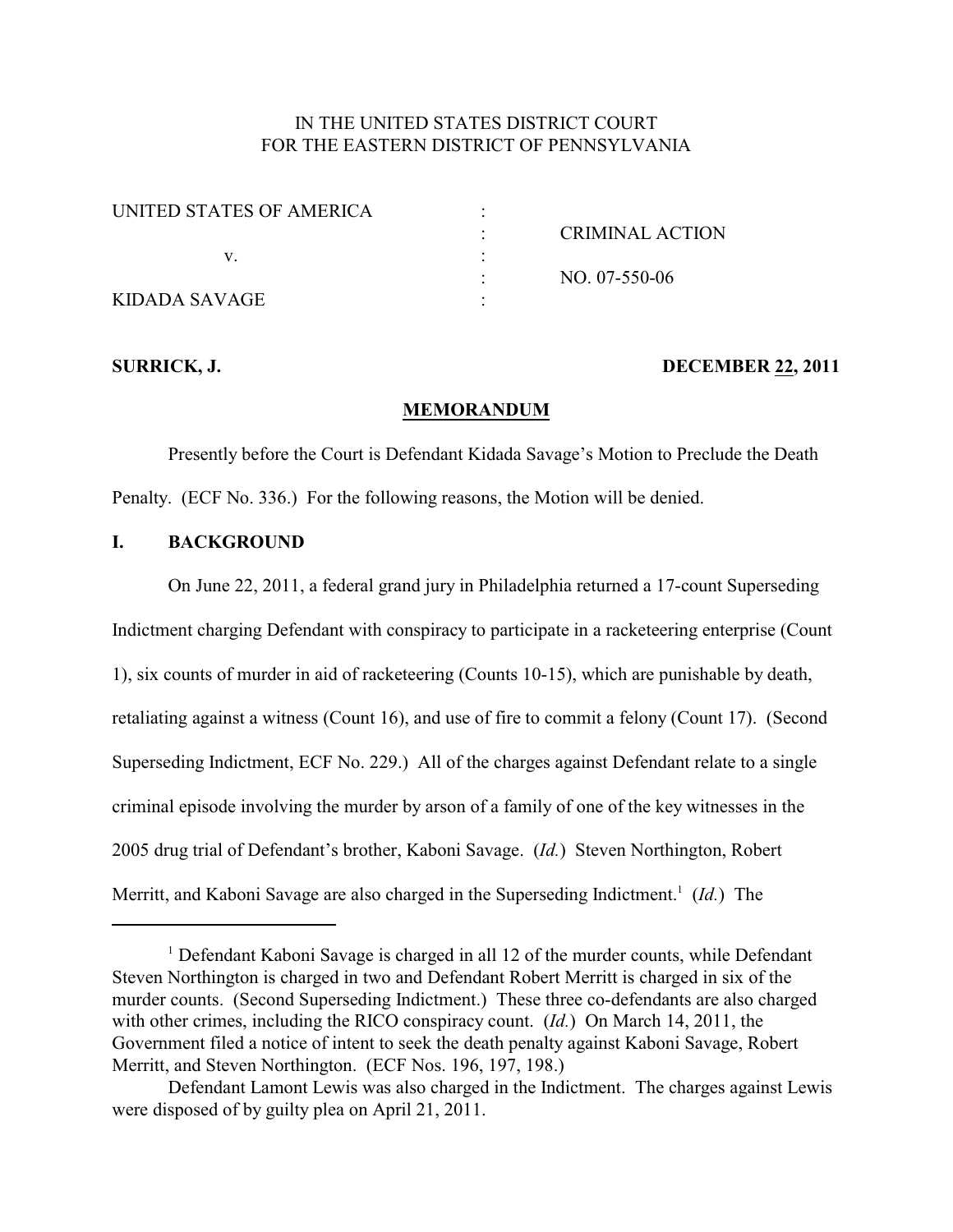## IN THE UNITED STATES DISTRICT COURT FOR THE EASTERN DISTRICT OF PENNSYLVANIA

| UNITED STATES OF AMERICA |                        |
|--------------------------|------------------------|
|                          | <b>CRIMINAL ACTION</b> |
|                          |                        |
|                          | NO. 07-550-06          |
| KIDADA SAVAGE            |                        |

### **SURRICK, J. DECEMBER 22, 2011**

## **MEMORANDUM**

Presently before the Court is Defendant Kidada Savage's Motion to Preclude the Death Penalty. (ECF No. 336.) For the following reasons, the Motion will be denied.

# **I. BACKGROUND**

On June 22, 2011, a federal grand jury in Philadelphia returned a 17-count Superseding Indictment charging Defendant with conspiracy to participate in a racketeering enterprise (Count 1), six counts of murder in aid of racketeering (Counts 10-15), which are punishable by death, retaliating against a witness (Count 16), and use of fire to commit a felony (Count 17). (Second Superseding Indictment, ECF No. 229.) All of the charges against Defendant relate to a single criminal episode involving the murder by arson of a family of one of the key witnesses in the 2005 drug trial of Defendant's brother, Kaboni Savage. (*Id.*) Steven Northington, Robert Merritt, and Kaboni Savage are also charged in the Superseding Indictment.<sup>1</sup> (*Id.*) The

<sup>&</sup>lt;sup>1</sup> Defendant Kaboni Savage is charged in all 12 of the murder counts, while Defendant Steven Northington is charged in two and Defendant Robert Merritt is charged in six of the murder counts. (Second Superseding Indictment.) These three co-defendants are also charged with other crimes, including the RICO conspiracy count. (*Id.*) On March 14, 2011, the Government filed a notice of intent to seek the death penalty against Kaboni Savage, Robert Merritt, and Steven Northington. (ECF Nos. 196, 197, 198.)

Defendant Lamont Lewis was also charged in the Indictment. The charges against Lewis were disposed of by guilty plea on April 21, 2011.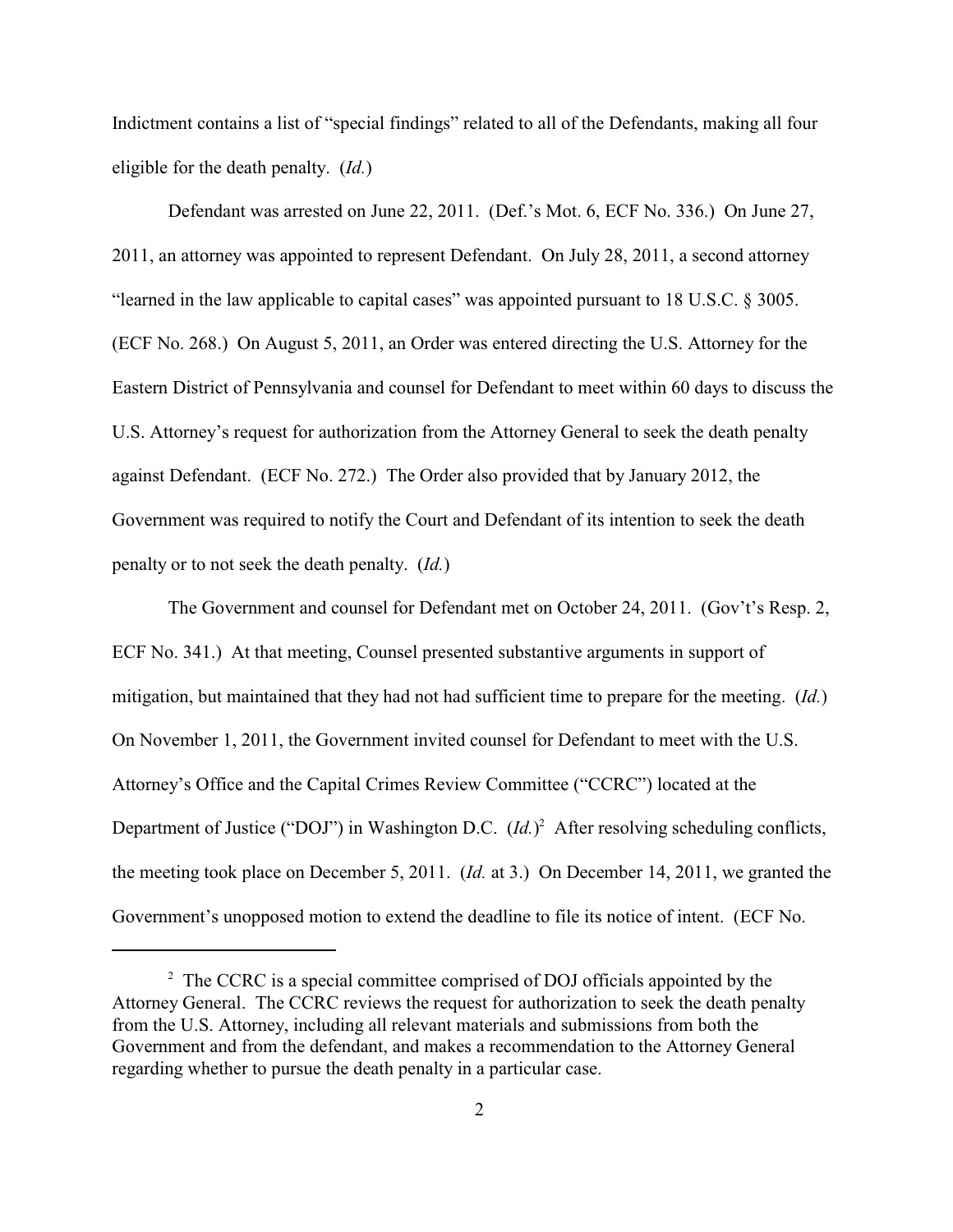Indictment contains a list of "special findings" related to all of the Defendants, making all four eligible for the death penalty. (*Id.*)

Defendant was arrested on June 22, 2011. (Def.'s Mot. 6, ECF No. 336.) On June 27, 2011, an attorney was appointed to represent Defendant. On July 28, 2011, a second attorney "learned in the law applicable to capital cases" was appointed pursuant to 18 U.S.C. § 3005. (ECF No. 268.) On August 5, 2011, an Order was entered directing the U.S. Attorney for the Eastern District of Pennsylvania and counsel for Defendant to meet within 60 days to discuss the U.S. Attorney's request for authorization from the Attorney General to seek the death penalty against Defendant. (ECF No. 272.) The Order also provided that by January 2012, the Government was required to notify the Court and Defendant of its intention to seek the death penalty or to not seek the death penalty. (*Id.*)

The Government and counsel for Defendant met on October 24, 2011. (Gov't's Resp. 2, ECF No. 341.) At that meeting, Counsel presented substantive arguments in support of mitigation, but maintained that they had not had sufficient time to prepare for the meeting. (*Id.*) On November 1, 2011, the Government invited counsel for Defendant to meet with the U.S. Attorney's Office and the Capital Crimes Review Committee ("CCRC") located at the Department of Justice ("DOJ") in Washington D.C. (*Id.*)<sup>2</sup> After resolving scheduling conflicts, the meeting took place on December 5, 2011. (*Id.* at 3.) On December 14, 2011, we granted the Government's unopposed motion to extend the deadline to file its notice of intent. (ECF No.

 $2^{\circ}$  The CCRC is a special committee comprised of DOJ officials appointed by the Attorney General. The CCRC reviews the request for authorization to seek the death penalty from the U.S. Attorney, including all relevant materials and submissions from both the Government and from the defendant, and makes a recommendation to the Attorney General regarding whether to pursue the death penalty in a particular case.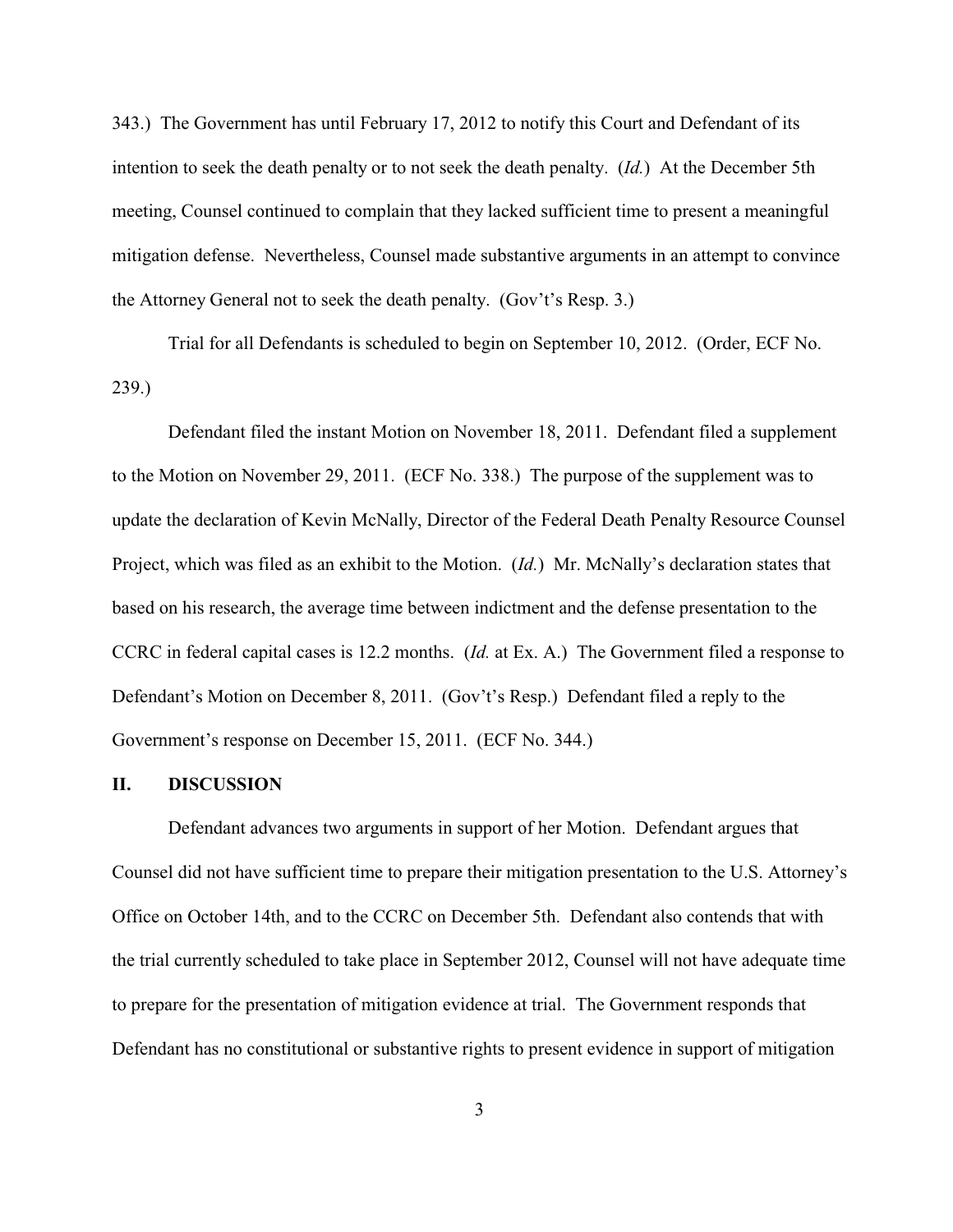343.) The Government has until February 17, 2012 to notify this Court and Defendant of its intention to seek the death penalty or to not seek the death penalty. (*Id.*) At the December 5th meeting, Counsel continued to complain that they lacked sufficient time to present a meaningful mitigation defense. Nevertheless, Counsel made substantive arguments in an attempt to convince the Attorney General not to seek the death penalty. (Gov't's Resp. 3.)

Trial for all Defendants is scheduled to begin on September 10, 2012. (Order, ECF No. 239.)

Defendant filed the instant Motion on November 18, 2011. Defendant filed a supplement to the Motion on November 29, 2011. (ECF No. 338.) The purpose of the supplement was to update the declaration of Kevin McNally, Director of the Federal Death Penalty Resource Counsel Project, which was filed as an exhibit to the Motion. (*Id.*) Mr. McNally's declaration states that based on his research, the average time between indictment and the defense presentation to the CCRC in federal capital cases is 12.2 months. (*Id.* at Ex. A.) The Government filed a response to Defendant's Motion on December 8, 2011. (Gov't's Resp.) Defendant filed a reply to the Government's response on December 15, 2011. (ECF No. 344.)

#### **II. DISCUSSION**

Defendant advances two arguments in support of her Motion. Defendant argues that Counsel did not have sufficient time to prepare their mitigation presentation to the U.S. Attorney's Office on October 14th, and to the CCRC on December 5th. Defendant also contends that with the trial currently scheduled to take place in September 2012, Counsel will not have adequate time to prepare for the presentation of mitigation evidence at trial. The Government responds that Defendant has no constitutional or substantive rights to present evidence in support of mitigation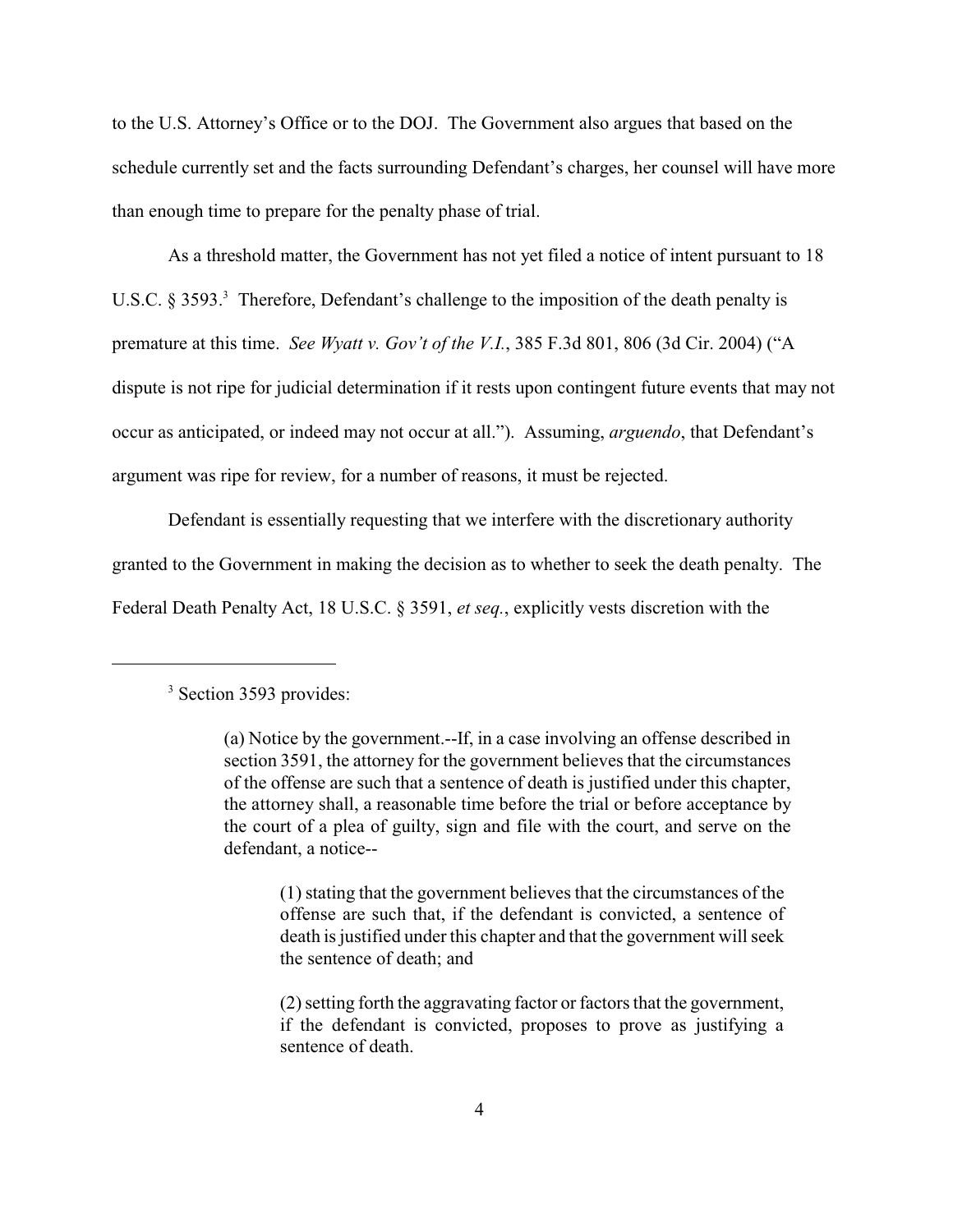to the U.S. Attorney's Office or to the DOJ. The Government also argues that based on the schedule currently set and the facts surrounding Defendant's charges, her counsel will have more than enough time to prepare for the penalty phase of trial.

As a threshold matter, the Government has not yet filed a notice of intent pursuant to 18 U.S.C. § 3593.<sup>3</sup> Therefore, Defendant's challenge to the imposition of the death penalty is premature at this time. *See Wyatt v. Gov't of the V.I.*, 385 F.3d 801, 806 (3d Cir. 2004) ("A dispute is not ripe for judicial determination if it rests upon contingent future events that may not occur as anticipated, or indeed may not occur at all."). Assuming, *arguendo*, that Defendant's argument was ripe for review, for a number of reasons, it must be rejected.

Defendant is essentially requesting that we interfere with the discretionary authority granted to the Government in making the decision as to whether to seek the death penalty. The Federal Death Penalty Act, 18 U.S.C. § 3591, *et seq.*, explicitly vests discretion with the

 $3$  Section 3593 provides:

<sup>(</sup>a) Notice by the government.--If, in a case involving an offense described in section 3591, the attorney for the government believes that the circumstances of the offense are such that a sentence of death is justified under this chapter, the attorney shall, a reasonable time before the trial or before acceptance by the court of a plea of guilty, sign and file with the court, and serve on the defendant, a notice--

<sup>(1)</sup> stating that the government believes that the circumstances of the offense are such that, if the defendant is convicted, a sentence of death is justified under this chapter and that the government will seek the sentence of death; and

<sup>(2)</sup> setting forth the aggravating factor or factors that the government, if the defendant is convicted, proposes to prove as justifying a sentence of death.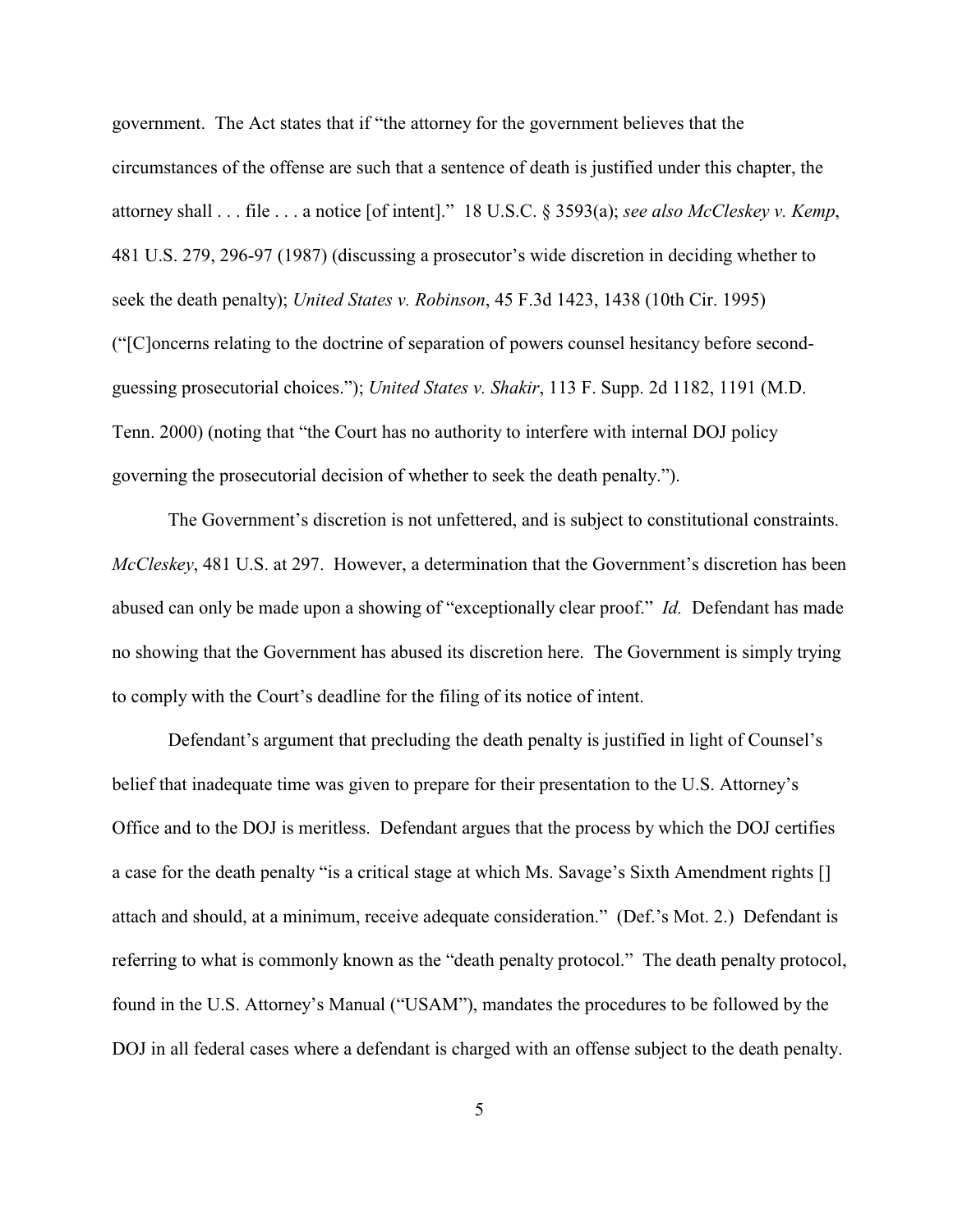government. The Act states that if "the attorney for the government believes that the circumstances of the offense are such that a sentence of death is justified under this chapter, the attorney shall . . . file . . . a notice [of intent]." 18 U.S.C. § 3593(a); *see also McCleskey v. Kemp*, 481 U.S. 279, 296-97 (1987) (discussing a prosecutor's wide discretion in deciding whether to seek the death penalty); *United States v. Robinson*, 45 F.3d 1423, 1438 (10th Cir. 1995) ("[C]oncerns relating to the doctrine of separation of powers counsel hesitancy before secondguessing prosecutorial choices."); *United States v. Shakir*, 113 F. Supp. 2d 1182, 1191 (M.D. Tenn. 2000) (noting that "the Court has no authority to interfere with internal DOJ policy governing the prosecutorial decision of whether to seek the death penalty.").

The Government's discretion is not unfettered, and is subject to constitutional constraints. *McCleskey*, 481 U.S. at 297. However, a determination that the Government's discretion has been abused can only be made upon a showing of "exceptionally clear proof." *Id.* Defendant has made no showing that the Government has abused its discretion here. The Government is simply trying to comply with the Court's deadline for the filing of its notice of intent.

Defendant's argument that precluding the death penalty is justified in light of Counsel's belief that inadequate time was given to prepare for their presentation to the U.S. Attorney's Office and to the DOJ is meritless. Defendant argues that the process by which the DOJ certifies a case for the death penalty "is a critical stage at which Ms. Savage's Sixth Amendment rights [] attach and should, at a minimum, receive adequate consideration." (Def.'s Mot. 2.) Defendant is referring to what is commonly known as the "death penalty protocol." The death penalty protocol, found in the U.S. Attorney's Manual ("USAM"), mandates the procedures to be followed by the DOJ in all federal cases where a defendant is charged with an offense subject to the death penalty.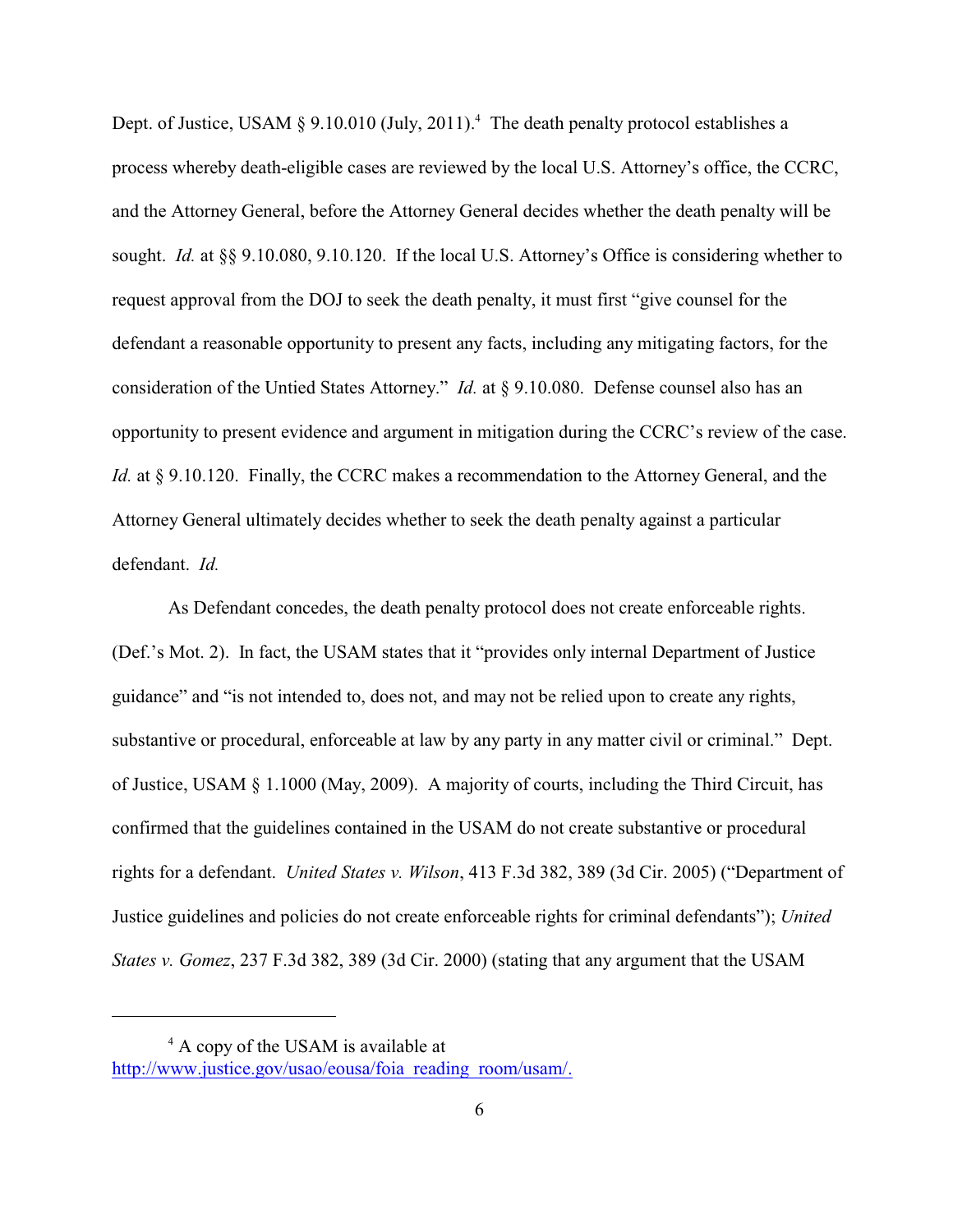Dept. of Justice, USAM  $\S 9.10.010$  (July, 2011).<sup>4</sup> The death penalty protocol establishes a process whereby death-eligible cases are reviewed by the local U.S. Attorney's office, the CCRC, and the Attorney General, before the Attorney General decides whether the death penalty will be sought. *Id.* at §§ 9.10.080, 9.10.120. If the local U.S. Attorney's Office is considering whether to request approval from the DOJ to seek the death penalty, it must first "give counsel for the defendant a reasonable opportunity to present any facts, including any mitigating factors, for the consideration of the Untied States Attorney." *Id.* at § 9.10.080. Defense counsel also has an opportunity to present evidence and argument in mitigation during the CCRC's review of the case. *Id.* at § 9.10.120. Finally, the CCRC makes a recommendation to the Attorney General, and the Attorney General ultimately decides whether to seek the death penalty against a particular defendant. *Id.*

As Defendant concedes, the death penalty protocol does not create enforceable rights. (Def.'s Mot. 2). In fact, the USAM states that it "provides only internal Department of Justice guidance" and "is not intended to, does not, and may not be relied upon to create any rights, substantive or procedural, enforceable at law by any party in any matter civil or criminal." Dept. of Justice, USAM § 1.1000 (May, 2009). A majority of courts, including the Third Circuit, has confirmed that the guidelines contained in the USAM do not create substantive or procedural rights for a defendant. *United States v. Wilson*, 413 F.3d 382, 389 (3d Cir. 2005) ("Department of Justice guidelines and policies do not create enforceable rights for criminal defendants"); *United States v. Gomez*, 237 F.3d 382, 389 (3d Cir. 2000) (stating that any argument that the USAM

 $4$  A copy of the USAM is available at

[http://www.justice.gov/usao/eousa/foia\\_reading\\_room/usam/.](http://www.justice.gov/usao/eousa/foia_reading_room/usam/.)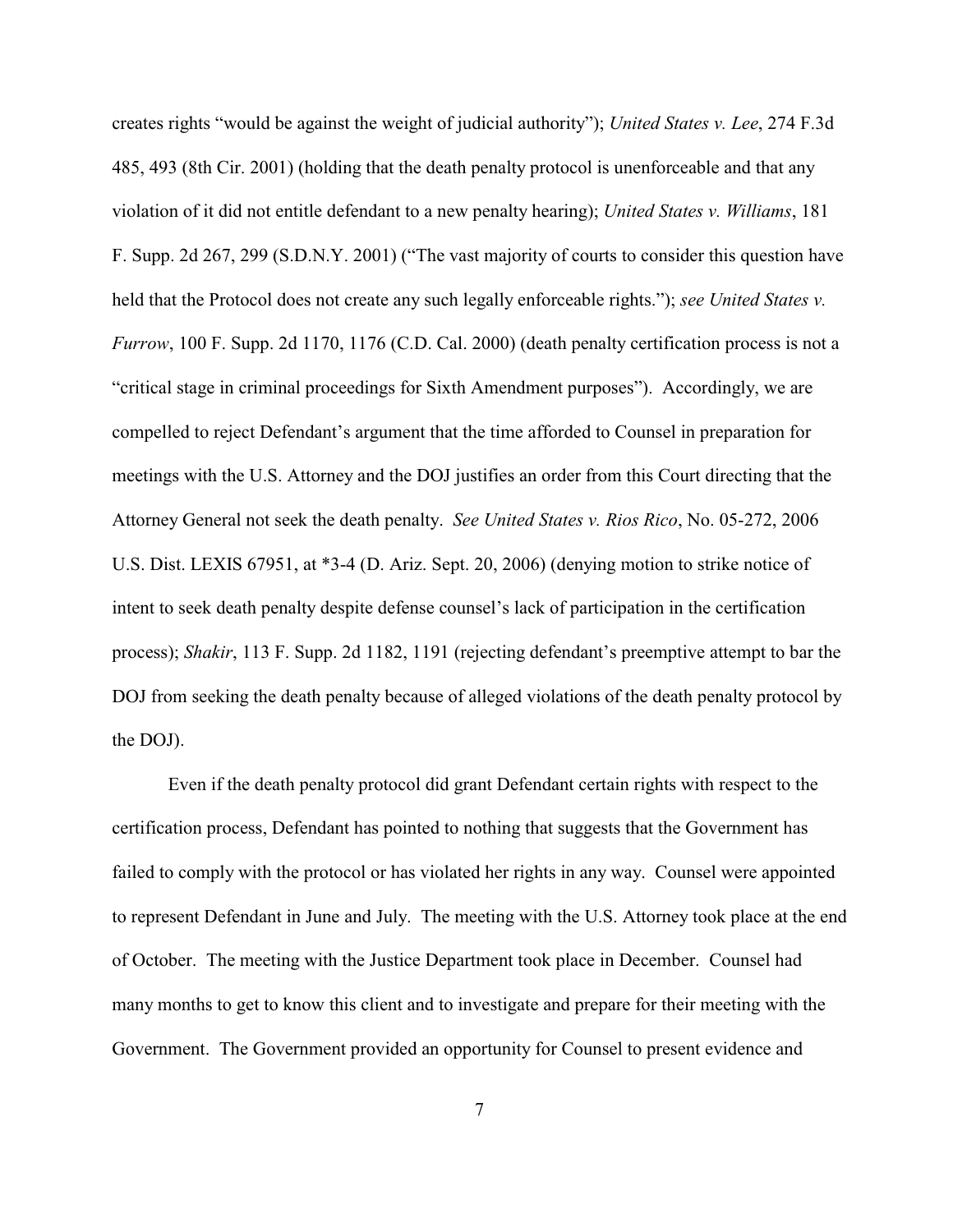creates rights "would be against the weight of judicial authority"); *United States v. Lee*, 274 F.3d 485, 493 (8th Cir. 2001) (holding that the death penalty protocol is unenforceable and that any violation of it did not entitle defendant to a new penalty hearing); *United States v. Williams*, 181 F. Supp. 2d 267, 299 (S.D.N.Y. 2001) ("The vast majority of courts to consider this question have held that the Protocol does not create any such legally enforceable rights."); *see United States v. Furrow*, 100 F. Supp. 2d 1170, 1176 (C.D. Cal. 2000) (death penalty certification process is not a "critical stage in criminal proceedings for Sixth Amendment purposes"). Accordingly, we are compelled to reject Defendant's argument that the time afforded to Counsel in preparation for meetings with the U.S. Attorney and the DOJ justifies an order from this Court directing that the Attorney General not seek the death penalty. *See United States v. Rios Rico*, No. 05-272, 2006 U.S. Dist. LEXIS 67951, at \*3-4 (D. Ariz. Sept. 20, 2006) (denying motion to strike notice of intent to seek death penalty despite defense counsel's lack of participation in the certification process); *Shakir*, 113 F. Supp. 2d 1182, 1191 (rejecting defendant's preemptive attempt to bar the DOJ from seeking the death penalty because of alleged violations of the death penalty protocol by the DOJ).

Even if the death penalty protocol did grant Defendant certain rights with respect to the certification process, Defendant has pointed to nothing that suggests that the Government has failed to comply with the protocol or has violated her rights in any way. Counsel were appointed to represent Defendant in June and July. The meeting with the U.S. Attorney took place at the end of October. The meeting with the Justice Department took place in December. Counsel had many months to get to know this client and to investigate and prepare for their meeting with the Government. The Government provided an opportunity for Counsel to present evidence and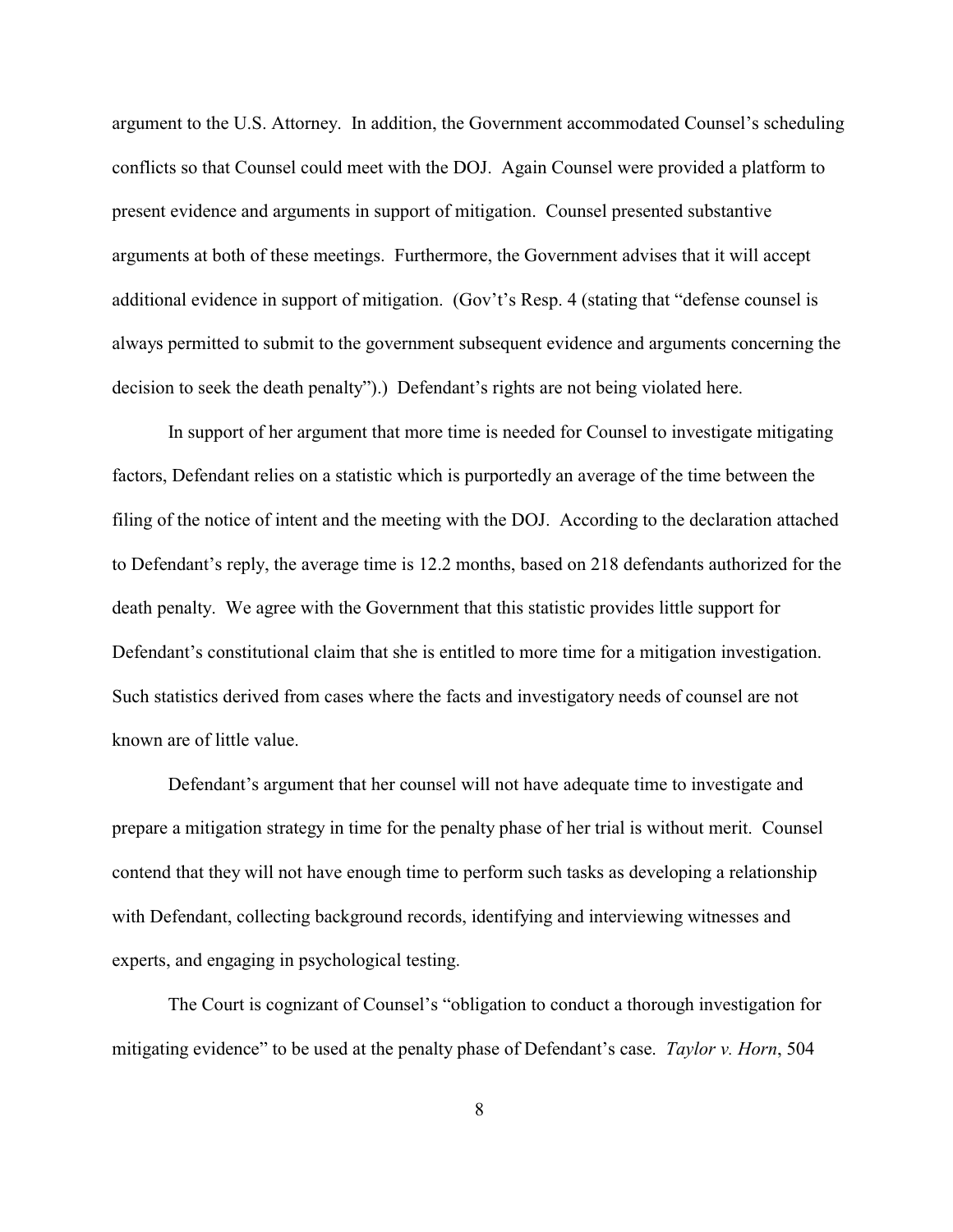argument to the U.S. Attorney. In addition, the Government accommodated Counsel's scheduling conflicts so that Counsel could meet with the DOJ. Again Counsel were provided a platform to present evidence and arguments in support of mitigation. Counsel presented substantive arguments at both of these meetings. Furthermore, the Government advises that it will accept additional evidence in support of mitigation. (Gov't's Resp. 4 (stating that "defense counsel is always permitted to submit to the government subsequent evidence and arguments concerning the decision to seek the death penalty").) Defendant's rights are not being violated here.

In support of her argument that more time is needed for Counsel to investigate mitigating factors, Defendant relies on a statistic which is purportedly an average of the time between the filing of the notice of intent and the meeting with the DOJ. According to the declaration attached to Defendant's reply, the average time is 12.2 months, based on 218 defendants authorized for the death penalty. We agree with the Government that this statistic provides little support for Defendant's constitutional claim that she is entitled to more time for a mitigation investigation. Such statistics derived from cases where the facts and investigatory needs of counsel are not known are of little value.

Defendant's argument that her counsel will not have adequate time to investigate and prepare a mitigation strategy in time for the penalty phase of her trial is without merit. Counsel contend that they will not have enough time to perform such tasks as developing a relationship with Defendant, collecting background records, identifying and interviewing witnesses and experts, and engaging in psychological testing.

The Court is cognizant of Counsel's "obligation to conduct a thorough investigation for mitigating evidence" to be used at the penalty phase of Defendant's case. *Taylor v. Horn*, 504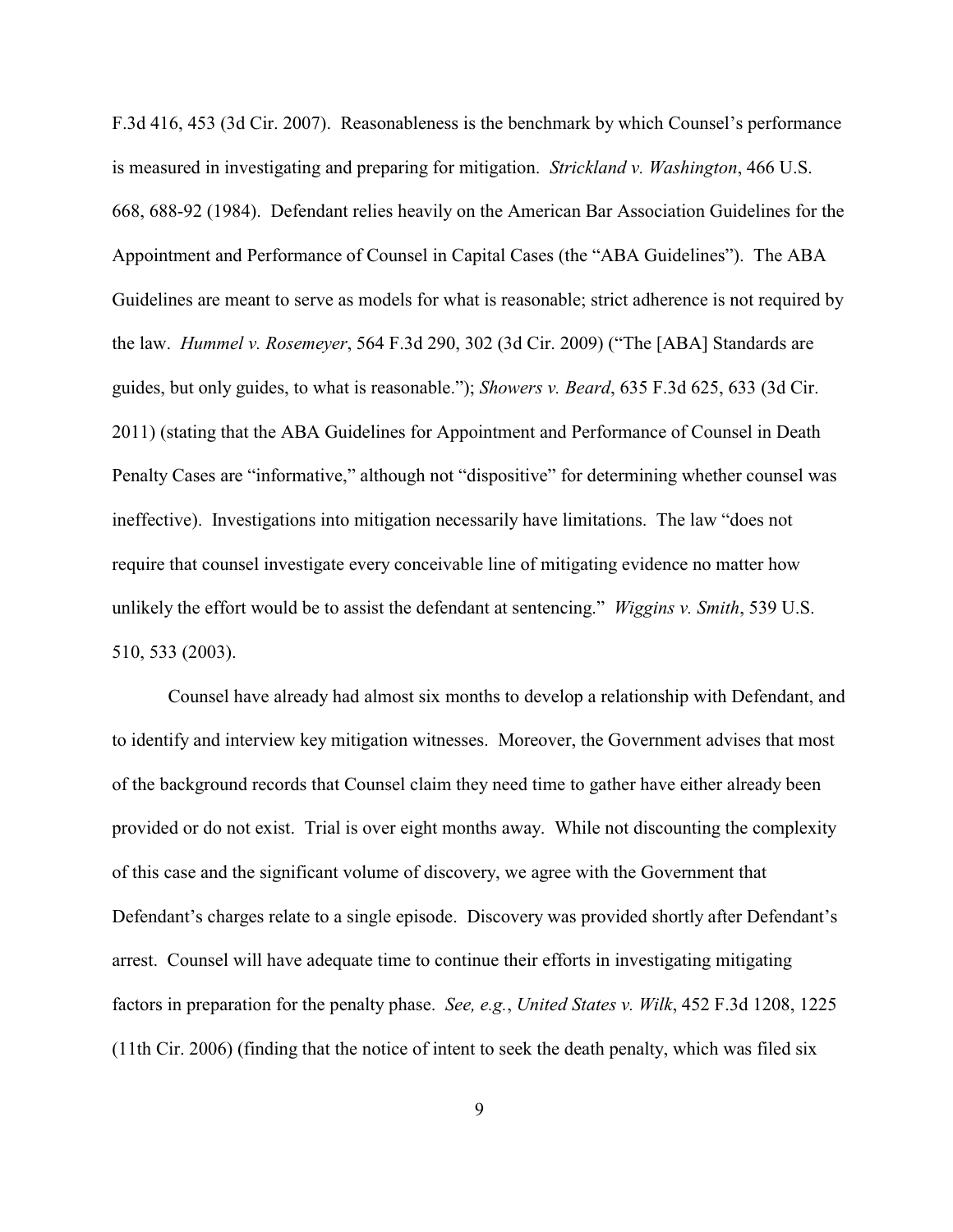F.3d 416, 453 (3d Cir. 2007). Reasonableness is the benchmark by which Counsel's performance is measured in investigating and preparing for mitigation. *Strickland v. Washington*, 466 U.S. 668, 688-92 (1984). Defendant relies heavily on the American Bar Association Guidelines for the Appointment and Performance of Counsel in Capital Cases (the "ABA Guidelines"). The ABA Guidelines are meant to serve as models for what is reasonable; strict adherence is not required by the law. *Hummel v. Rosemeyer*, 564 F.3d 290, 302 (3d Cir. 2009) ("The [ABA] Standards are guides, but only guides, to what is reasonable."); *Showers v. Beard*, 635 F.3d 625, 633 (3d Cir. 2011) (stating that the ABA Guidelines for Appointment and Performance of Counsel in Death Penalty Cases are "informative," although not "dispositive" for determining whether counsel was ineffective). Investigations into mitigation necessarily have limitations. The law "does not require that counsel investigate every conceivable line of mitigating evidence no matter how unlikely the effort would be to assist the defendant at sentencing." *Wiggins v. Smith*, 539 U.S. 510, 533 (2003).

 Counsel have already had almost six months to develop a relationship with Defendant, and to identify and interview key mitigation witnesses. Moreover, the Government advises that most of the background records that Counsel claim they need time to gather have either already been provided or do not exist. Trial is over eight months away. While not discounting the complexity of this case and the significant volume of discovery, we agree with the Government that Defendant's charges relate to a single episode. Discovery was provided shortly after Defendant's arrest. Counsel will have adequate time to continue their efforts in investigating mitigating factors in preparation for the penalty phase. *See, e.g.*, *United States v. Wilk*, 452 F.3d 1208, 1225 (11th Cir. 2006) (finding that the notice of intent to seek the death penalty, which was filed six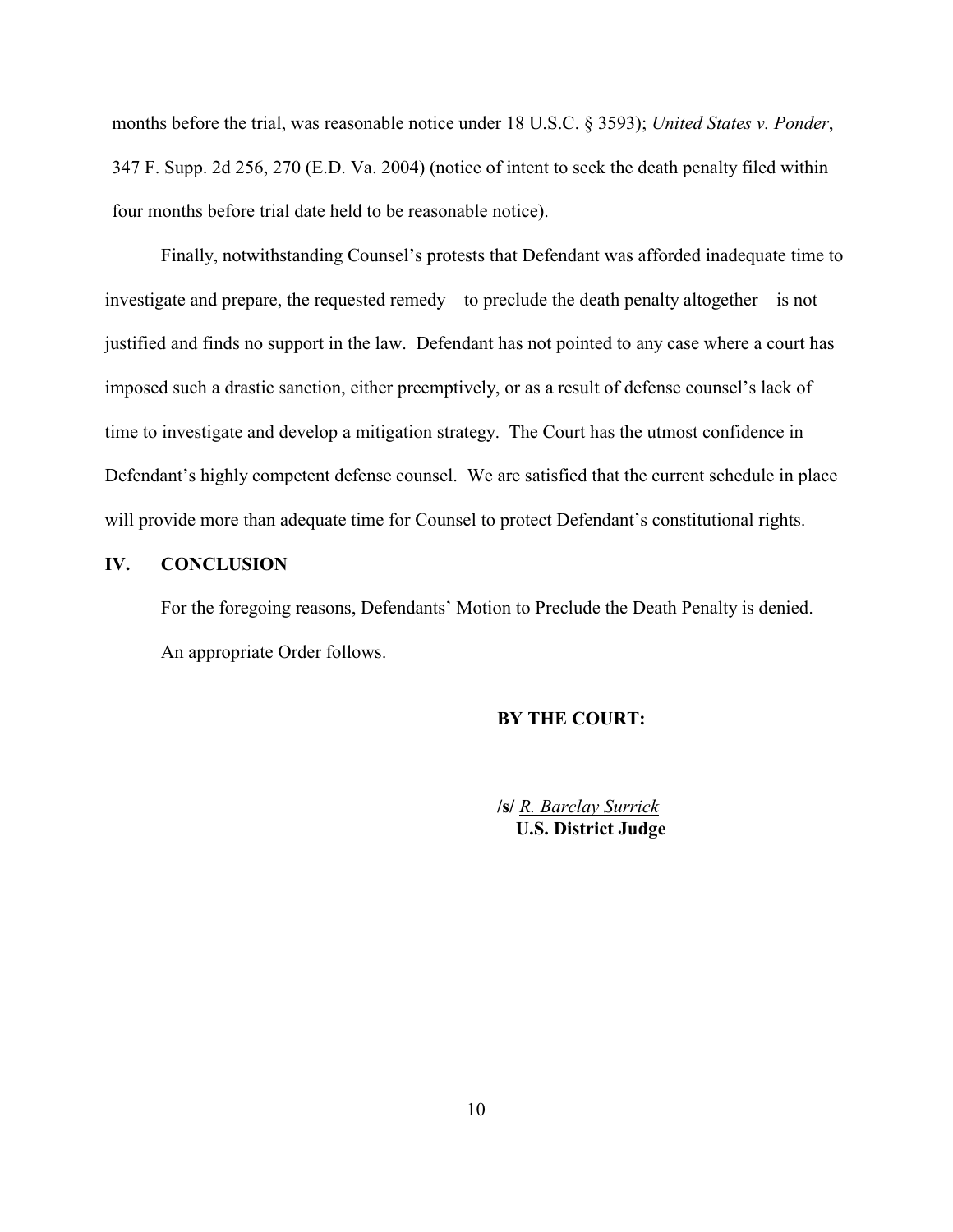months before the trial, was reasonable notice under 18 U.S.C. § 3593); *United States v. Ponder*, 347 F. Supp. 2d 256, 270 (E.D. Va. 2004) (notice of intent to seek the death penalty filed within four months before trial date held to be reasonable notice).

Finally, notwithstanding Counsel's protests that Defendant was afforded inadequate time to investigate and prepare, the requested remedy—to preclude the death penalty altogether—is not justified and finds no support in the law. Defendant has not pointed to any case where a court has imposed such a drastic sanction, either preemptively, or as a result of defense counsel's lack of time to investigate and develop a mitigation strategy. The Court has the utmost confidence in Defendant's highly competent defense counsel. We are satisfied that the current schedule in place will provide more than adequate time for Counsel to protect Defendant's constitutional rights.

## **IV. CONCLUSION**

For the foregoing reasons, Defendants' Motion to Preclude the Death Penalty is denied. An appropriate Order follows.

## **BY THE COURT:**

**/s/** *R. Barclay Surrick* **U.S. District Judge**